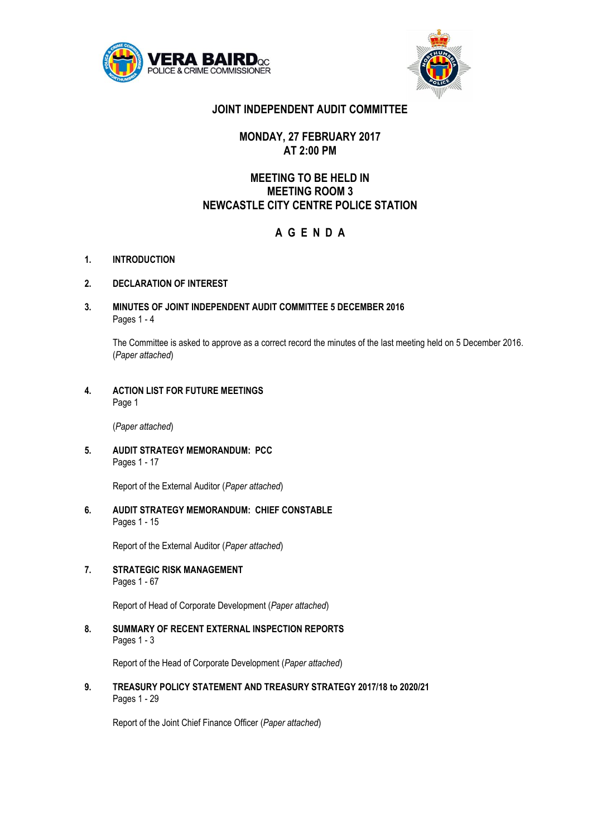



# **JOINT INDEPENDENT AUDIT COMMITTEE**

## **MONDAY, 27 FEBRUARY 2017 AT 2:00 PM**

# **MEETING TO BE HELD IN MEETING ROOM 3 NEWCASTLE CITY CENTRE POLICE STATION**

# **A G E N D A**

**1. INTRODUCTION**

## **2. DECLARATION OF INTEREST**

**3. MINUTES OF JOINT INDEPENDENT AUDIT COMMITTEE 5 DECEMBER 2016** Pages 1 - 4

The Committee is asked to approve as a correct record the minutes of the last meeting held on 5 December 2016. (*Paper attached*)

**4. ACTION LIST FOR FUTURE MEETINGS** Page 1

(*Paper attached*)

**5. AUDIT STRATEGY MEMORANDUM: PCC** Pages 1 - 17

Report of the External Auditor (*Paper attached*)

**6. AUDIT STRATEGY MEMORANDUM: CHIEF CONSTABLE** Pages 1 - 15

Report of the External Auditor (*Paper attached*)

**7. STRATEGIC RISK MANAGEMENT** Pages 1 - 67

Report of Head of Corporate Development (*Paper attached*)

**8. SUMMARY OF RECENT EXTERNAL INSPECTION REPORTS**  Pages 1 - 3

Report of the Head of Corporate Development (*Paper attached*)

**9. TREASURY POLICY STATEMENT AND TREASURY STRATEGY 2017/18 to 2020/21** Pages 1 - 29

Report of the Joint Chief Finance Officer (*Paper attached*)